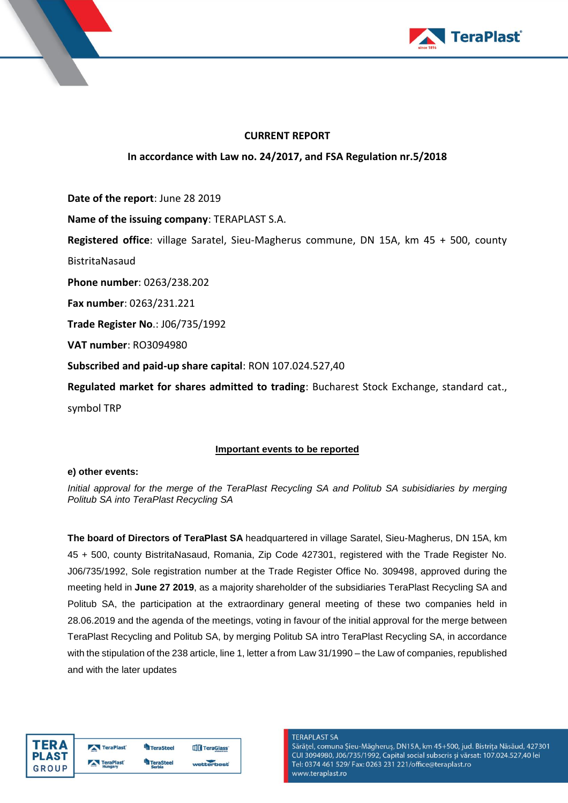

### **CURRENT REPORT**

# **In accordance with Law no. 24/2017, and FSA Regulation nr.5/2018**

**Date of the report**: June 28 2019

**Name of the issuing company**: TERAPLAST S.A.

**Registered office**: village Saratel, Sieu-Magherus commune, DN 15A, km 45 + 500, county

BistritaNasaud

**Phone number**: 0263/238.202

**Fax number**: 0263/231.221

**Trade Register No**.: J06/735/1992

**VAT number**: RO3094980

**Subscribed and paid-up share capital**: RON 107.024.527,40

**Regulated market for shares admitted to trading**: Bucharest Stock Exchange, standard cat., symbol TRP

## **Important events to be reported**

### **e) other events:**

*Initial approval for the merge of the TeraPlast Recycling SA and Politub SA subisidiaries by merging Politub SA into TeraPlast Recycling SA*

**The board of Directors of TeraPlast SA** headquartered in village Saratel, Sieu-Magherus, DN 15A, km 45 + 500, county BistritaNasaud, Romania, Zip Code 427301, registered with the Trade Register No. J06/735/1992, Sole registration number at the Trade Register Office No. 309498, approved during the meeting held in **June 27 2019**, as a majority shareholder of the subsidiaries TeraPlast Recycling SA and Politub SA, the participation at the extraordinary general meeting of these two companies held in 28.06.2019 and the agenda of the meetings, voting in favour of the initial approval for the merge between TeraPlast Recycling and Politub SA, by merging Politub SA intro TeraPlast Recycling SA, in accordance with the stipulation of the 238 article, line 1, letter a from Law 31/1990 – the Law of companies, republished and with the later updates





#### **TERAPLAST SA**

Sărățel, comuna Șieu-Măgheruș, DN15A, km 45+500, jud. Bistrița Năsăud, 427301 CUI 3094980, J06/735/1992, Capital social subscris și vărsat: 107.024.527,40 lei Tel: 0374 461 529/ Fax: 0263 231 221/office@teraplast.ro www.teraplast.ro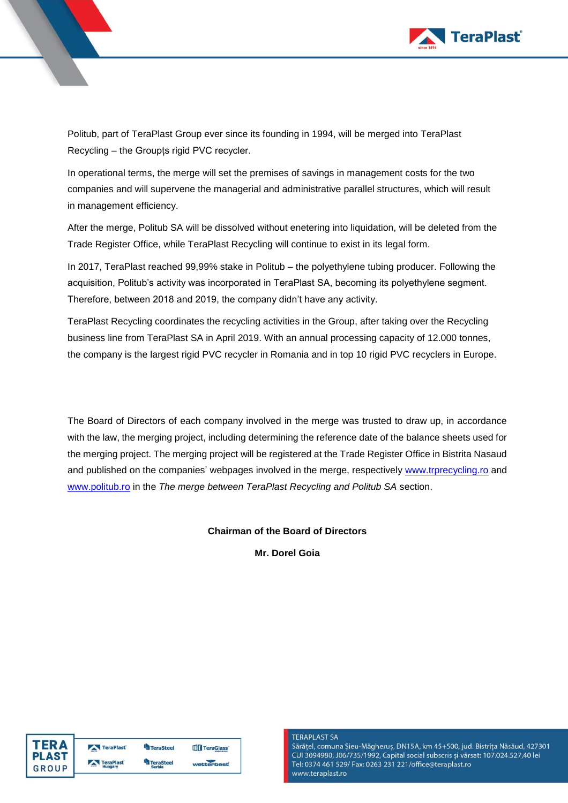

Politub, part of TeraPlast Group ever since its founding in 1994, will be merged into TeraPlast Recycling – the Groupțs rigid PVC recycler.

In operational terms, the merge will set the premises of savings in management costs for the two companies and will supervene the managerial and administrative parallel structures, which will result in management efficiency.

After the merge, Politub SA will be dissolved without enetering into liquidation, will be deleted from the Trade Register Office, while TeraPlast Recycling will continue to exist in its legal form.

In 2017, TeraPlast reached 99,99% stake in Politub – the polyethylene tubing producer. Following the acquisition, Politub's activity was incorporated in TeraPlast SA, becoming its polyethylene segment. Therefore, between 2018 and 2019, the company didn't have any activity.

TeraPlast Recycling coordinates the recycling activities in the Group, after taking over the Recycling business line from TeraPlast SA in April 2019. With an annual processing capacity of 12.000 tonnes, the company is the largest rigid PVC recycler in Romania and in top 10 rigid PVC recyclers in Europe.

The Board of Directors of each company involved in the merge was trusted to draw up, in accordance with the law, the merging project, including determining the reference date of the balance sheets used for the merging project. The merging project will be registered at the Trade Register Office in Bistrita Nasaud and published on the companies' webpages involved in the merge, respectively [www.trprecycling.ro](http://www.trprecycling.ro/) and [www.politub.ro](http://www.politub.ro/) in the *The merge between TeraPlast Recycling and Politub SA* section.

### **Chairman of the Board of Directors**

**Mr. Dorel Goia**



#### **TERAPLAST SA**

Sărățel, comuna Șieu-Măgheruș, DN15A, km 45+500, jud. Bistrița Năsăud, 427301 CUI 3094980, J06/735/1992, Capital social subscris și vărsat: 107.024.527,40 lei Tel: 0374 461 529/ Fax: 0263 231 221/office@teraplast.ro www.teraplast.ro